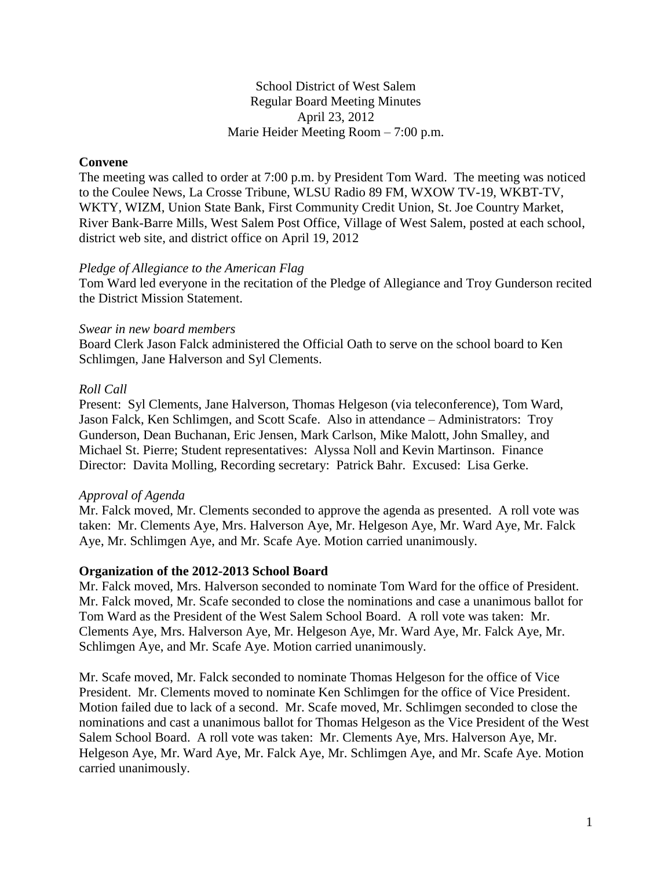## School District of West Salem Regular Board Meeting Minutes April 23, 2012 Marie Heider Meeting Room – 7:00 p.m.

## **Convene**

The meeting was called to order at 7:00 p.m. by President Tom Ward. The meeting was noticed to the Coulee News, La Crosse Tribune, WLSU Radio 89 FM, WXOW TV-19, WKBT-TV, WKTY, WIZM, Union State Bank, First Community Credit Union, St. Joe Country Market, River Bank-Barre Mills, West Salem Post Office, Village of West Salem, posted at each school, district web site, and district office on April 19, 2012

#### *Pledge of Allegiance to the American Flag*

Tom Ward led everyone in the recitation of the Pledge of Allegiance and Troy Gunderson recited the District Mission Statement.

#### *Swear in new board members*

Board Clerk Jason Falck administered the Official Oath to serve on the school board to Ken Schlimgen, Jane Halverson and Syl Clements.

## *Roll Call*

Present: Syl Clements, Jane Halverson, Thomas Helgeson (via teleconference), Tom Ward, Jason Falck, Ken Schlimgen, and Scott Scafe. Also in attendance – Administrators: Troy Gunderson, Dean Buchanan, Eric Jensen, Mark Carlson, Mike Malott, John Smalley, and Michael St. Pierre; Student representatives: Alyssa Noll and Kevin Martinson. Finance Director: Davita Molling, Recording secretary: Patrick Bahr. Excused: Lisa Gerke.

## *Approval of Agenda*

Mr. Falck moved, Mr. Clements seconded to approve the agenda as presented. A roll vote was taken: Mr. Clements Aye, Mrs. Halverson Aye, Mr. Helgeson Aye, Mr. Ward Aye, Mr. Falck Aye, Mr. Schlimgen Aye, and Mr. Scafe Aye. Motion carried unanimously.

#### **Organization of the 2012-2013 School Board**

Mr. Falck moved, Mrs. Halverson seconded to nominate Tom Ward for the office of President. Mr. Falck moved, Mr. Scafe seconded to close the nominations and case a unanimous ballot for Tom Ward as the President of the West Salem School Board. A roll vote was taken: Mr. Clements Aye, Mrs. Halverson Aye, Mr. Helgeson Aye, Mr. Ward Aye, Mr. Falck Aye, Mr. Schlimgen Aye, and Mr. Scafe Aye. Motion carried unanimously.

Mr. Scafe moved, Mr. Falck seconded to nominate Thomas Helgeson for the office of Vice President. Mr. Clements moved to nominate Ken Schlimgen for the office of Vice President. Motion failed due to lack of a second. Mr. Scafe moved, Mr. Schlimgen seconded to close the nominations and cast a unanimous ballot for Thomas Helgeson as the Vice President of the West Salem School Board. A roll vote was taken: Mr. Clements Aye, Mrs. Halverson Aye, Mr. Helgeson Aye, Mr. Ward Aye, Mr. Falck Aye, Mr. Schlimgen Aye, and Mr. Scafe Aye. Motion carried unanimously.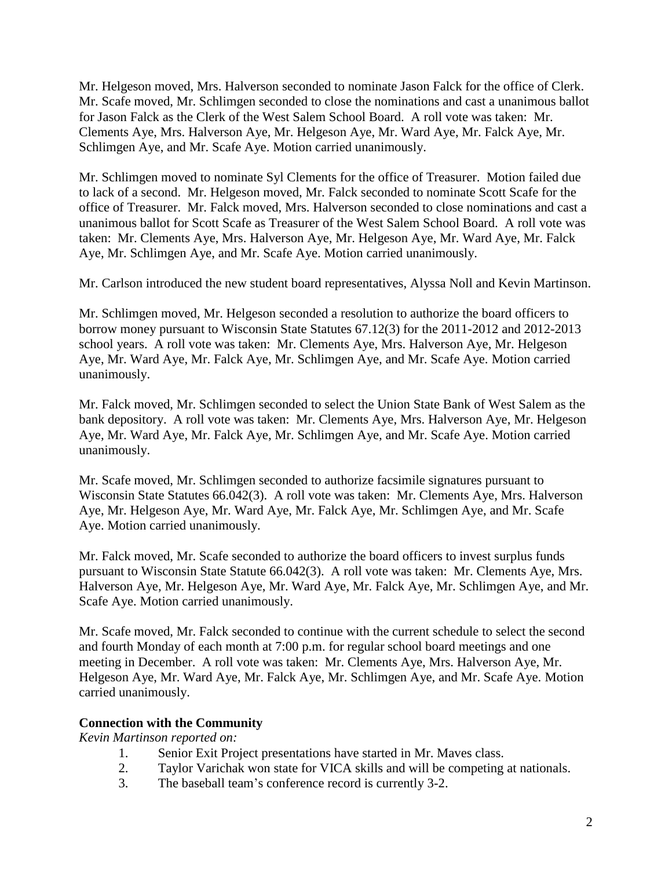Mr. Helgeson moved, Mrs. Halverson seconded to nominate Jason Falck for the office of Clerk. Mr. Scafe moved, Mr. Schlimgen seconded to close the nominations and cast a unanimous ballot for Jason Falck as the Clerk of the West Salem School Board. A roll vote was taken: Mr. Clements Aye, Mrs. Halverson Aye, Mr. Helgeson Aye, Mr. Ward Aye, Mr. Falck Aye, Mr. Schlimgen Aye, and Mr. Scafe Aye. Motion carried unanimously.

Mr. Schlimgen moved to nominate Syl Clements for the office of Treasurer. Motion failed due to lack of a second. Mr. Helgeson moved, Mr. Falck seconded to nominate Scott Scafe for the office of Treasurer. Mr. Falck moved, Mrs. Halverson seconded to close nominations and cast a unanimous ballot for Scott Scafe as Treasurer of the West Salem School Board. A roll vote was taken: Mr. Clements Aye, Mrs. Halverson Aye, Mr. Helgeson Aye, Mr. Ward Aye, Mr. Falck Aye, Mr. Schlimgen Aye, and Mr. Scafe Aye. Motion carried unanimously.

Mr. Carlson introduced the new student board representatives, Alyssa Noll and Kevin Martinson.

Mr. Schlimgen moved, Mr. Helgeson seconded a resolution to authorize the board officers to borrow money pursuant to Wisconsin State Statutes 67.12(3) for the 2011-2012 and 2012-2013 school years. A roll vote was taken: Mr. Clements Aye, Mrs. Halverson Aye, Mr. Helgeson Aye, Mr. Ward Aye, Mr. Falck Aye, Mr. Schlimgen Aye, and Mr. Scafe Aye. Motion carried unanimously.

Mr. Falck moved, Mr. Schlimgen seconded to select the Union State Bank of West Salem as the bank depository. A roll vote was taken: Mr. Clements Aye, Mrs. Halverson Aye, Mr. Helgeson Aye, Mr. Ward Aye, Mr. Falck Aye, Mr. Schlimgen Aye, and Mr. Scafe Aye. Motion carried unanimously.

Mr. Scafe moved, Mr. Schlimgen seconded to authorize facsimile signatures pursuant to Wisconsin State Statutes 66.042(3). A roll vote was taken: Mr. Clements Aye, Mrs. Halverson Aye, Mr. Helgeson Aye, Mr. Ward Aye, Mr. Falck Aye, Mr. Schlimgen Aye, and Mr. Scafe Aye. Motion carried unanimously.

Mr. Falck moved, Mr. Scafe seconded to authorize the board officers to invest surplus funds pursuant to Wisconsin State Statute 66.042(3). A roll vote was taken: Mr. Clements Aye, Mrs. Halverson Aye, Mr. Helgeson Aye, Mr. Ward Aye, Mr. Falck Aye, Mr. Schlimgen Aye, and Mr. Scafe Aye. Motion carried unanimously.

Mr. Scafe moved, Mr. Falck seconded to continue with the current schedule to select the second and fourth Monday of each month at 7:00 p.m. for regular school board meetings and one meeting in December. A roll vote was taken: Mr. Clements Aye, Mrs. Halverson Aye, Mr. Helgeson Aye, Mr. Ward Aye, Mr. Falck Aye, Mr. Schlimgen Aye, and Mr. Scafe Aye. Motion carried unanimously.

## **Connection with the Community**

*Kevin Martinson reported on:*

- 1. Senior Exit Project presentations have started in Mr. Maves class.
- 2. Taylor Varichak won state for VICA skills and will be competing at nationals.
- 3. The baseball team's conference record is currently 3-2.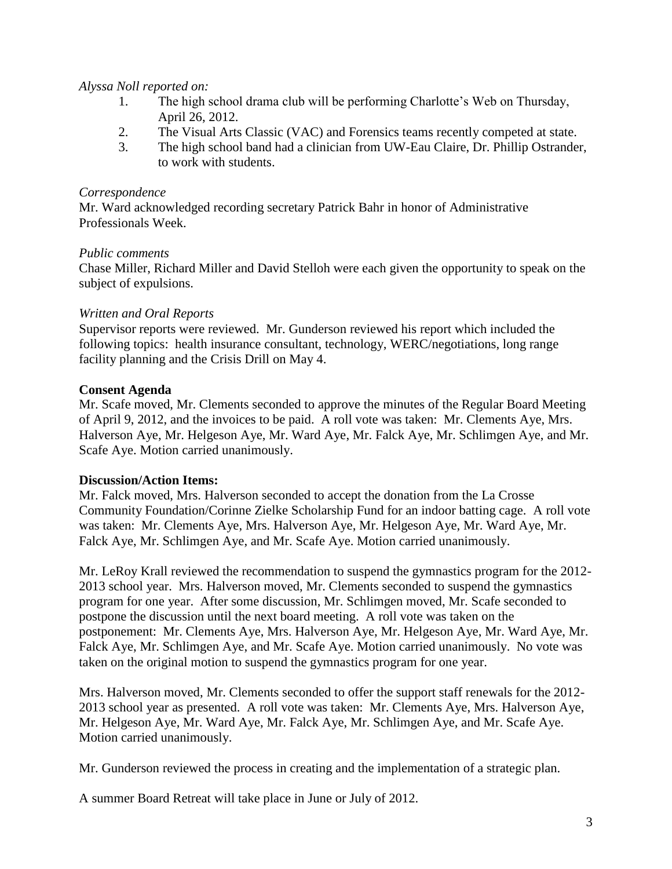## *Alyssa Noll reported on:*

- 1. The high school drama club will be performing Charlotte's Web on Thursday, April 26, 2012.
- 2. The Visual Arts Classic (VAC) and Forensics teams recently competed at state.
- 3. The high school band had a clinician from UW-Eau Claire, Dr. Phillip Ostrander, to work with students.

# *Correspondence*

Mr. Ward acknowledged recording secretary Patrick Bahr in honor of Administrative Professionals Week.

## *Public comments*

Chase Miller, Richard Miller and David Stelloh were each given the opportunity to speak on the subject of expulsions.

## *Written and Oral Reports*

Supervisor reports were reviewed. Mr. Gunderson reviewed his report which included the following topics: health insurance consultant, technology, WERC/negotiations, long range facility planning and the Crisis Drill on May 4.

## **Consent Agenda**

Mr. Scafe moved, Mr. Clements seconded to approve the minutes of the Regular Board Meeting of April 9, 2012, and the invoices to be paid. A roll vote was taken: Mr. Clements Aye, Mrs. Halverson Aye, Mr. Helgeson Aye, Mr. Ward Aye, Mr. Falck Aye, Mr. Schlimgen Aye, and Mr. Scafe Aye. Motion carried unanimously.

## **Discussion/Action Items:**

Mr. Falck moved, Mrs. Halverson seconded to accept the donation from the La Crosse Community Foundation/Corinne Zielke Scholarship Fund for an indoor batting cage. A roll vote was taken: Mr. Clements Aye, Mrs. Halverson Aye, Mr. Helgeson Aye, Mr. Ward Aye, Mr. Falck Aye, Mr. Schlimgen Aye, and Mr. Scafe Aye. Motion carried unanimously.

Mr. LeRoy Krall reviewed the recommendation to suspend the gymnastics program for the 2012- 2013 school year. Mrs. Halverson moved, Mr. Clements seconded to suspend the gymnastics program for one year. After some discussion, Mr. Schlimgen moved, Mr. Scafe seconded to postpone the discussion until the next board meeting. A roll vote was taken on the postponement: Mr. Clements Aye, Mrs. Halverson Aye, Mr. Helgeson Aye, Mr. Ward Aye, Mr. Falck Aye, Mr. Schlimgen Aye, and Mr. Scafe Aye. Motion carried unanimously. No vote was taken on the original motion to suspend the gymnastics program for one year.

Mrs. Halverson moved, Mr. Clements seconded to offer the support staff renewals for the 2012- 2013 school year as presented. A roll vote was taken: Mr. Clements Aye, Mrs. Halverson Aye, Mr. Helgeson Aye, Mr. Ward Aye, Mr. Falck Aye, Mr. Schlimgen Aye, and Mr. Scafe Aye. Motion carried unanimously.

Mr. Gunderson reviewed the process in creating and the implementation of a strategic plan.

A summer Board Retreat will take place in June or July of 2012.